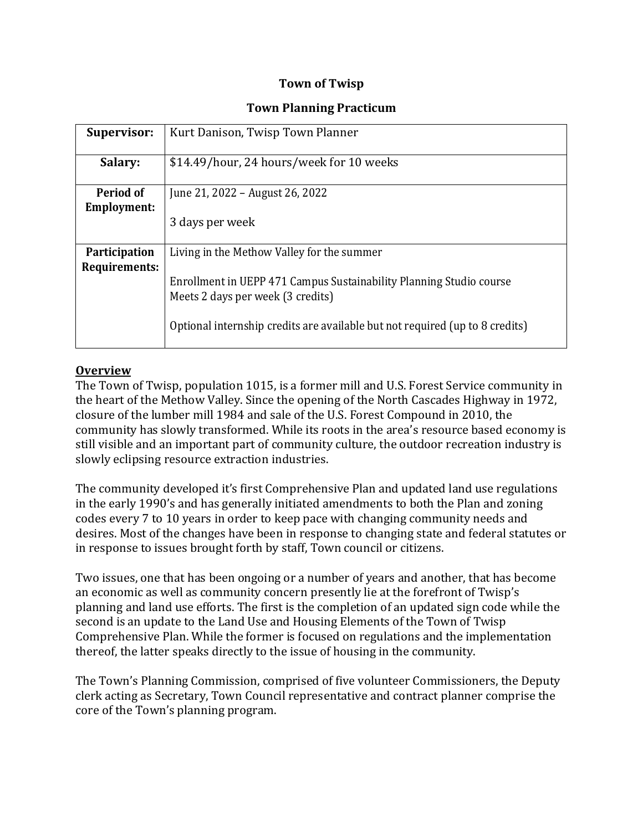#### **Town of Twisp**

#### **Town Planning Practicum**

| <b>Supervisor:</b>             | Kurt Danison, Twisp Town Planner                                                                                                                                                                                                       |
|--------------------------------|----------------------------------------------------------------------------------------------------------------------------------------------------------------------------------------------------------------------------------------|
| Salary:                        | \$14.49/hour, 24 hours/week for 10 weeks                                                                                                                                                                                               |
| Period of<br>Employment:       | June 21, 2022 – August 26, 2022<br>3 days per week                                                                                                                                                                                     |
| Participation<br>Requirements: | Living in the Methow Valley for the summer<br>Enrollment in UEPP 471 Campus Sustainability Planning Studio course<br>Meets 2 days per week (3 credits)<br>Optional internship credits are available but not required (up to 8 credits) |

#### **Overview**

The Town of Twisp, population 1015, is a former mill and U.S. Forest Service community in the heart of the Methow Valley. Since the opening of the North Cascades Highway in 1972, closure of the lumber mill 1984 and sale of the U.S. Forest Compound in 2010, the community has slowly transformed. While its roots in the area's resource based economy is still visible and an important part of community culture, the outdoor recreation industry is slowly eclipsing resource extraction industries.

The community developed it's first Comprehensive Plan and updated land use regulations in the early 1990's and has generally initiated amendments to both the Plan and zoning codes every 7 to 10 years in order to keep pace with changing community needs and desires. Most of the changes have been in response to changing state and federal statutes or in response to issues brought forth by staff, Town council or citizens.

Two issues, one that has been ongoing or a number of years and another, that has become an economic as well as community concern presently lie at the forefront of Twisp's planning and land use efforts. The first is the completion of an updated sign code while the second is an update to the Land Use and Housing Elements of the Town of Twisp Comprehensive Plan. While the former is focused on regulations and the implementation thereof, the latter speaks directly to the issue of housing in the community.

The Town's Planning Commission, comprised of five volunteer Commissioners, the Deputy clerk acting as Secretary, Town Council representative and contract planner comprise the core of the Town's planning program.